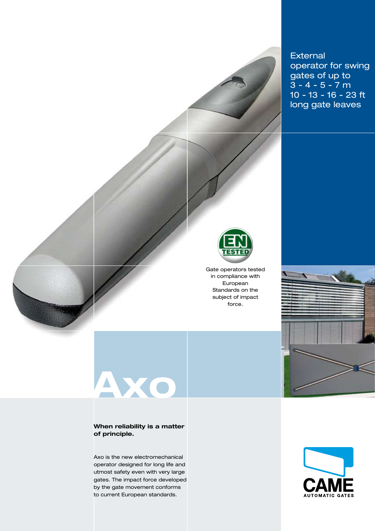

# **Axo**

#### **When reliability is a matter of principle.**

Axo is the new electromechanical operator designed for long life and utmost safety even with very large gates. The impact force developed by the gate movement conforms to current European standards.

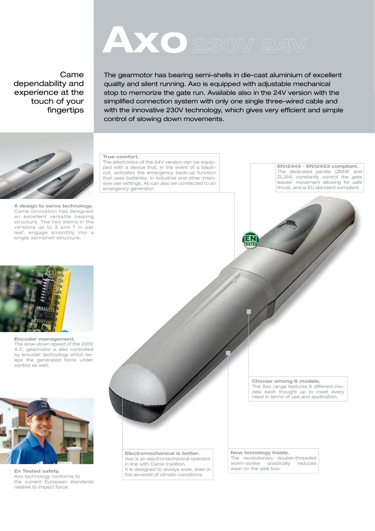# **AXO** 230V 24V

### Came dependability and experience at the touch of your fingertips

**A design to serve technology.**  Came innovation has designed an excellent versatile bearing structure. The two stems in the versions up to 3 and 7 m per leaf, engage smoothly into a single semishell structure.



**Encoder management.** The slow-down speed of the 230V A.C. gearmotor is also controlled by encoder technology which keeps the generated force under control as well.



**En Tested safety.** Axo technology conforms to the current European standards relative to impact force.

The gearmotor has bearing semi-shells in die-cast aluminium of excellent quality and silent running. Axo is equipped with adjustable mechanical stop to memorize the gate run. Available also in the 24V version with the simplified connection system with only one single three-wired cable and with the innovative 230V technology, which gives very efficient and simple control of slowing down movements.

#### **True comfort.**

The electronics of the 24V version can be equipped with a device that, in the event of a blackout, activates the emergency back-up function that uses batteries. In industrial and other intensive use settings, Ati can also be connected to an emergency generator.

**EN12445 – EN12453 compliant.**  The dedicated panels (ZM3E and ZLJ24) constantly control the gate leaves' movement allowing for safe thrust, and is EU standard compliant.



**Electromechanical is better.**  Axo is an electromechanical operator in line with Came tradition. It is designed to always work, even in the severest of climatic conditions.

**Choose among 6 models.**  The Axo range features 6 different models each thought up to meet every need in terms of use and application.

**New tecnology inside.**  The revolutionary double-threaded worm-screw drastically reduces wear on the axle box.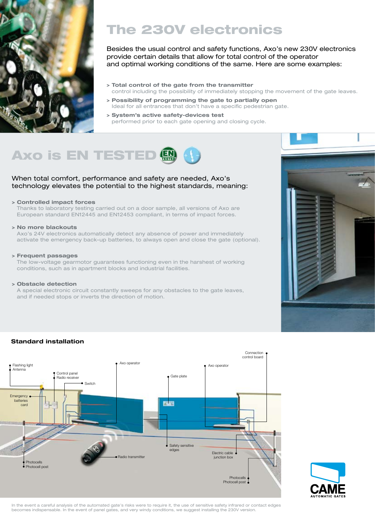

## The 230V electronics

Besides the usual control and safety functions, Axo's new 230V electronics provide certain details that allow for total control of the operator and optimal working conditions of the same. Here are some examples:

- **> Total control of the gate from the transmitter** control including the possibility of immediately stopping the movement of the gate leaves.
- **> Possibility of programming the gate to partially open** Ideal for all entrances that don't have a specific pedestrian gate.
- **> System's active safety-devices test** performed prior to each gate opening and closing cycle.



#### When total comfort, performance and safety are needed, Axo's technology elevates the potential to the highest standards, meaning:

#### **> Controlled impact forces**

Thanks to laboratory testing carried out on a door sample, all versions of Axo are European standard EN12445 and EN12453 compliant, in terms of impact forces.

#### **> No more blackouts**

Axo's 24V electronics automatically detect any absence of power and immediately activate the emergency back-up batteries, to always open and close the gate (optional).

#### **> Frequent passages**

The low-voltage gearmotor guarantees functioning even in the harshest of working conditions, such as in apartment blocks and industrial facilities.

#### **> Obstacle detection**

A special electronic circuit constantly sweeps for any obstacles to the gate leaves, and if needed stops or inverts the direction of motion.



#### **Standard installation**





In the event a careful analysis of the automated gate's risks were to require it, the use of sensitive safety infrared or contact edges becomes indispensable. In the event of panel gates, and very windy conditions, we suggest installing the 230V version.